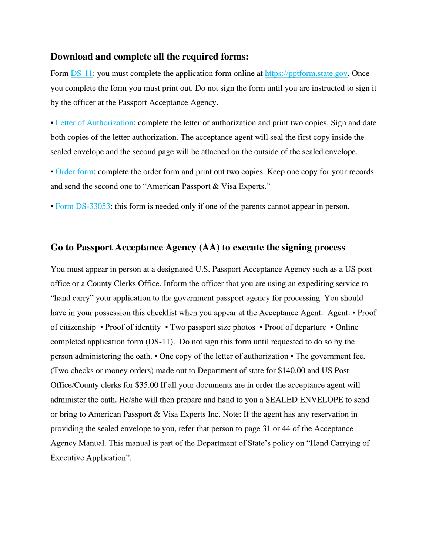#### **Download and complete all the required forms:**

Form [DS-11:](https://pptform.state.gov) you must complete the application form online at https://pptform.state.gov. Once you complete the form you must print out. Do not sign the form until you are instructed to sign it by the officer at the Passport Acceptance Agency.

• [Letter of Authorization:](https://drive.google.com/open?id=1DP85ZQSC2aAb6PdCPlz77Xjn7rp44YBU) complete the letter of authorization and print two copies. Sign and date both copies of the letter authorization. The acceptance agent will seal the first copy inside the sealed envelope and the second page will be attached on the outside of the sealed envelope.

• [Order form:](https://drive.google.com/open?id=1ePZLS6oKc-cLC3QSbIzj02_ySV2gHv_y) complete the order form and print out two copies. Keep one copy for your records and send the second one to "American Passport & Visa Experts."

• [Form DS-33053: t](https://eforms.state.gov/Forms/ds3053.pdf)his form is needed only if one of the parents cannot appear in person.

## **Go to Passport Acceptance Agency (AA) to execute the signing process**

You must appear in person at a designated U.S. Passport Acceptance Agency such as a US post office or a County Clerks Office. Inform the officer that you are using an expediting service to "hand carry" your application to the government passport agency for processing. You should have in your possession this checklist when you appear at the Acceptance Agent: Agent: • Proof of citizenship • Proof of identity • Two passport size photos • Proof of departure • Online completed application form (DS-11). Do not sign this form until requested to do so by the person administering the oath. • One copy of the letter of authorization • The government fee. (Two checks or money orders) made out to Department of state for \$140.00 and US Post Office/County clerks for \$35.00 If all your documents are in order the acceptance agent will administer the oath. He/she will then prepare and hand to you a SEALED ENVELOPE to send or bring to American Passport & Visa Experts Inc. Note: If the agent has any reservation in providing the sealed envelope to you, refer that person to page 31 or 44 of the Acceptance Agency Manual. This manual is part of the Department of State's policy on "Hand Carrying of Executive Application".